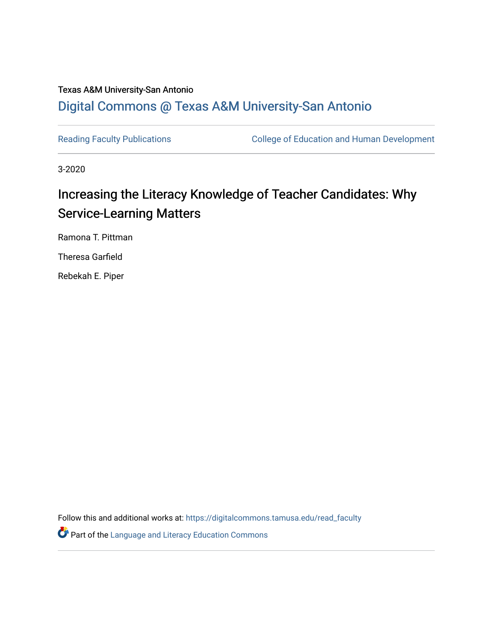## Texas A&M University-San Antonio [Digital Commons @ Texas A&M University-San Antonio](https://digitalcommons.tamusa.edu/)

[Reading Faculty Publications](https://digitalcommons.tamusa.edu/read_faculty) **College of Education and Human Development** 

3-2020

# Increasing the Literacy Knowledge of Teacher Candidates: Why Service-Learning Matters

Ramona T. Pittman

Theresa Garfield

Rebekah E. Piper

Follow this and additional works at: [https://digitalcommons.tamusa.edu/read\\_faculty](https://digitalcommons.tamusa.edu/read_faculty?utm_source=digitalcommons.tamusa.edu%2Fread_faculty%2F14&utm_medium=PDF&utm_campaign=PDFCoverPages) 

**P** Part of the Language and Literacy Education Commons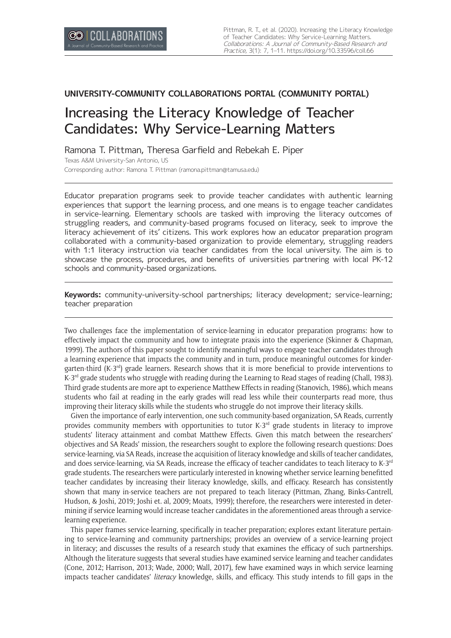## **UNIVERSITY-COMMUNITY COLLABORATIONS PORTAL (COMMUNITY PORTAL)**

## Increasing the Literacy Knowledge of Teacher Candidates: Why Service-Learning Matters

Ramona T. Pittman, Theresa Garfield and Rebekah E. Piper Texas A&M University-San Antonio, US Corresponding author: Ramona T. Pittman ([ramona.pittman@tamusa.edu](mailto:ramona.pittman@tamusa.edu))

Educator preparation programs seek to provide teacher candidates with authentic learning experiences that support the learning process, and one means is to engage teacher candidates in service-learning. Elementary schools are tasked with improving the literacy outcomes of struggling readers, and community-based programs focused on literacy, seek to improve the literacy achievement of its' citizens. This work explores how an educator preparation program collaborated with a community-based organization to provide elementary, struggling readers with 1:1 literacy instruction via teacher candidates from the local university. The aim is to showcase the process, procedures, and benefits of universities partnering with local PK-12 schools and community-based organizations.

**Keywords:** community-university-school partnerships; literacy development; service-learning; teacher preparation

Two challenges face the implementation of service-learning in educator preparation programs: how to effectively impact the community and how to integrate praxis into the experience (Skinner & Chapman, 1999). The authors of this paper sought to identify meaningful ways to engage teacher candidates through a learning experience that impacts the community and in turn, produce meaningful outcomes for kindergarten-third (K-3<sup>rd</sup>) grade learners. Research shows that it is more beneficial to provide interventions to  $K-3^{rd}$  grade students who struggle with reading during the Learning to Read stages of reading (Chall, 1983). Third grade students are more apt to experience Matthew Effects in reading (Stanovich, 1986), which means students who fail at reading in the early grades will read less while their counterparts read more, thus improving their literacy skills while the students who struggle do not improve their literacy skills.

Given the importance of early intervention, one such community-based organization, SA Reads, currently provides community members with opportunities to tutor K-3<sup>rd</sup> grade students in literacy to improve students' literacy attainment and combat Matthew Effects. Given this match between the researchers' objectives and SA Reads' mission, the researchers sought to explore the following research questions: Does service-learning, via SA Reads, increase the acquisition of literacy knowledge and skills of teacher candidates, and does service-learning, via SA Reads, increase the efficacy of teacher candidates to teach literacy to K-3<sup>rd</sup> grade students. The researchers were particularly interested in knowing whether service learning benefitted teacher candidates by increasing their literacy knowledge, skills, and efficacy. Research has consistently shown that many in-service teachers are not prepared to teach literacy (Pittman, Zhang, Binks-Cantrell, Hudson, & Joshi, 2019; Joshi et. al, 2009; Moats, 1999); therefore, the researchers were interested in determining if service learning would increase teacher candidates in the aforementioned areas through a servicelearning experience.

This paper frames service-learning, specifically in teacher preparation; explores extant literature pertaining to service-learning and community partnerships; provides an overview of a service-learning project in literacy; and discusses the results of a research study that examines the efficacy of such partnerships. Although the literature suggests that several studies have examined service learning and teacher candidates (Cone, 2012; Harrison, 2013; Wade, 2000; Wall, 2017), few have examined ways in which service learning impacts teacher candidates' *literacy* knowledge, skills, and efficacy. This study intends to fill gaps in the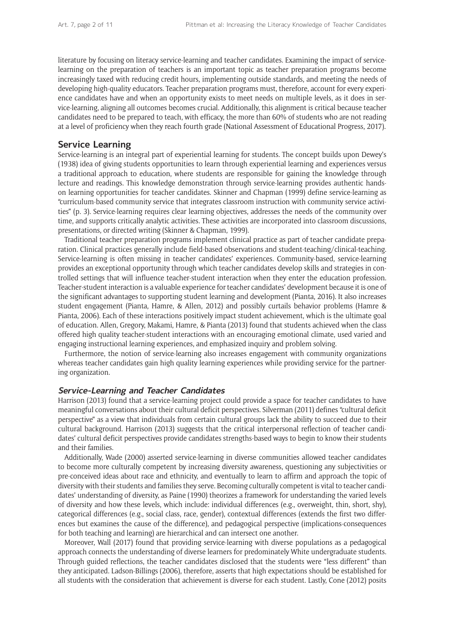literature by focusing on literacy service-learning and teacher candidates. Examining the impact of servicelearning on the preparation of teachers is an important topic as teacher preparation programs become increasingly taxed with reducing credit hours, implementing outside standards, and meeting the needs of developing high-quality educators. Teacher preparation programs must, therefore, account for every experience candidates have and when an opportunity exists to meet needs on multiple levels, as it does in service-learning, aligning all outcomes becomes crucial. Additionally, this alignment is critical because teacher candidates need to be prepared to teach, with efficacy, the more than 60% of students who are not reading at a level of proficiency when they reach fourth grade (National Assessment of Educational Progress, 2017).

## **Service Learning**

Service-learning is an integral part of experiential learning for students. The concept builds upon Dewey's (1938) idea of giving students opportunities to learn through experiential learning and experiences versus a traditional approach to education, where students are responsible for gaining the knowledge through lecture and readings. This knowledge demonstration through service-learning provides authentic handson learning opportunities for teacher candidates. Skinner and Chapman (1999) define service-learning as "curriculum-based community service that integrates classroom instruction with community service activities" (p. 3). Service-learning requires clear learning objectives, addresses the needs of the community over time, and supports critically analytic activities. These activities are incorporated into classroom discussions, presentations, or directed writing (Skinner & Chapman, 1999).

Traditional teacher preparation programs implement clinical practice as part of teacher candidate preparation. Clinical practices generally include field-based observations and student-teaching/clinical-teaching. Service-learning is often missing in teacher candidates' experiences. Community-based, service-learning provides an exceptional opportunity through which teacher candidates develop skills and strategies in controlled settings that will influence teacher-student interaction when they enter the education profession. Teacher-student interaction is a valuable experience for teacher candidates' development because it is one of the significant advantages to supporting student learning and development (Pianta, 2016). It also increases student engagement (Pianta, Hamre, & Allen, 2012) and possibly curtails behavior problems (Hamre & Pianta, 2006). Each of these interactions positively impact student achievement, which is the ultimate goal of education. Allen, Gregory, Makami, Hamre, & Pianta (2013) found that students achieved when the class offered high quality teacher-student interactions with an encouraging emotional climate, used varied and engaging instructional learning experiences, and emphasized inquiry and problem solving.

Furthermore, the notion of service-learning also increases engagement with community organizations whereas teacher candidates gain high quality learning experiences while providing service for the partnering organization.

#### **Service-Learning and Teacher Candidates**

Harrison (2013) found that a service-learning project could provide a space for teacher candidates to have meaningful conversations about their cultural deficit perspectives. Silverman (2011) defines "cultural deficit perspective" as a view that individuals from certain cultural groups lack the ability to succeed due to their cultural background. Harrison (2013) suggests that the critical interpersonal reflection of teacher candidates' cultural deficit perspectives provide candidates strengths-based ways to begin to know their students and their families.

Additionally, Wade (2000) asserted service-learning in diverse communities allowed teacher candidates to become more culturally competent by increasing diversity awareness, questioning any subjectivities or pre-conceived ideas about race and ethnicity, and eventually to learn to affirm and approach the topic of diversity with their students and families they serve. Becoming culturally competent is vital to teacher candidates' understanding of diversity, as Paine (1990) theorizes a framework for understanding the varied levels of diversity and how these levels, which include: individual differences (e.g., overweight, thin, short, shy), categorical differences (e.g., social class, race, gender), contextual differences (extends the first two differences but examines the cause of the difference), and pedagogical perspective (implications-consequences for both teaching and learning) are hierarchical and can intersect one another.

Moreover, Wall (2017) found that providing service-learning with diverse populations as a pedagogical approach connects the understanding of diverse learners for predominately White undergraduate students. Through guided reflections, the teacher candidates disclosed that the students were "less different" than they anticipated. Ladson-Billings (2006), therefore, asserts that high expectations should be established for all students with the consideration that achievement is diverse for each student. Lastly, Cone (2012) posits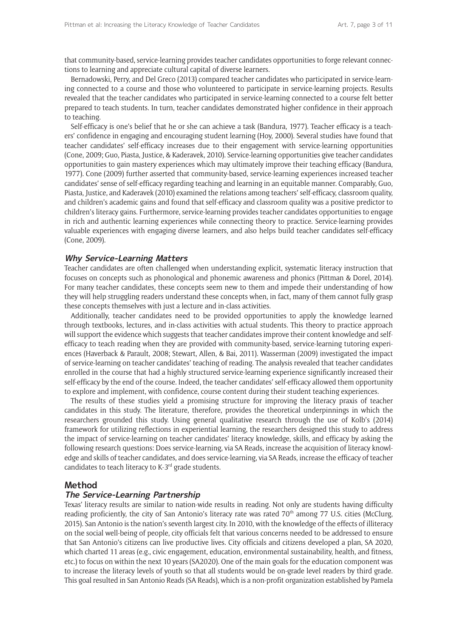that community-based, service-learning provides teacher candidates opportunities to forge relevant connections to learning and appreciate cultural capital of diverse learners.

Bernadowski, Perry, and Del Greco (2013) compared teacher candidates who participated in service-learning connected to a course and those who volunteered to participate in service-learning projects. Results revealed that the teacher candidates who participated in service-learning connected to a course felt better prepared to teach students. In turn, teacher candidates demonstrated higher confidence in their approach to teaching.

Self-efficacy is one's belief that he or she can achieve a task (Bandura, 1977). Teacher efficacy is a teachers' confidence in engaging and encouraging student learning (Hoy, 2000). Several studies have found that teacher candidates' self-efficacy increases due to their engagement with service-learning opportunities (Cone, 2009; Guo, Piasta, Justice, & Kaderavek, 2010). Service-learning opportunities give teacher candidates opportunities to gain mastery experiences which may ultimately improve their teaching efficacy (Bandura, 1977). Cone (2009) further asserted that community-based, service-learning experiences increased teacher candidates' sense of self-efficacy regarding teaching and learning in an equitable manner. Comparably, Guo, Piasta, Justice, and Kaderavek (2010) examined the relations among teachers' self-efficacy, classroom quality, and children's academic gains and found that self-efficacy and classroom quality was a positive predictor to children's literacy gains. Furthermore, service-learning provides teacher candidates opportunities to engage in rich and authentic learning experiences while connecting theory to practice. Service-learning provides valuable experiences with engaging diverse learners, and also helps build teacher candidates self-efficacy (Cone, 2009).

#### **Why Service-Learning Matters**

Teacher candidates are often challenged when understanding explicit, systematic literacy instruction that focuses on concepts such as phonological and phonemic awareness and phonics (Pittman & Dorel, 2014). For many teacher candidates, these concepts seem new to them and impede their understanding of how they will help struggling readers understand these concepts when, in fact, many of them cannot fully grasp these concepts themselves with just a lecture and in-class activities.

Additionally, teacher candidates need to be provided opportunities to apply the knowledge learned through textbooks, lectures, and in-class activities with actual students. This theory to practice approach will support the evidence which suggests that teacher candidates improve their content knowledge and selfefficacy to teach reading when they are provided with community-based, service-learning tutoring experiences (Haverback & Parault, 2008; Stewart, Allen, & Bai, 2011). Wasserman (2009) investigated the impact of service-learning on teacher candidates' teaching of reading. The analysis revealed that teacher candidates enrolled in the course that had a highly structured service-learning experience significantly increased their self-efficacy by the end of the course. Indeed, the teacher candidates' self-efficacy allowed them opportunity to explore and implement, with confidence, course content during their student teaching experiences.

The results of these studies yield a promising structure for improving the literacy praxis of teacher candidates in this study. The literature, therefore, provides the theoretical underpinnings in which the researchers grounded this study. Using general qualitative research through the use of Kolb's (2014) framework for utilizing reflections in experiential learning, the researchers designed this study to address the impact of service-learning on teacher candidates' literacy knowledge, skills, and efficacy by asking the following research questions: Does service-learning, via SA Reads, increase the acquisition of literacy knowledge and skills of teacher candidates, and does service-learning, via SA Reads, increase the efficacy of teacher candidates to teach literacy to  $K-3^{rd}$  grade students.

#### **Method**

#### **The Service-Learning Partnership**

Texas' literacy results are similar to nation-wide results in reading. Not only are students having difficulty reading proficiently, the city of San Antonio's literacy rate was rated  $70<sup>th</sup>$  among 77 U.S. cities (McClurg, 2015). San Antonio is the nation's seventh largest city. In 2010, with the knowledge of the effects of illiteracy on the social well-being of people, city officials felt that various concerns needed to be addressed to ensure that San Antonio's citizens can live productive lives. City officials and citizens developed a plan, SA 2020, which charted 11 areas (e.g., civic engagement, education, environmental sustainability, health, and fitness, etc.) to focus on within the next 10 years (SA2020). One of the main goals for the education component was to increase the literacy levels of youth so that all students would be on-grade level readers by third grade. This goal resulted in San Antonio Reads (SA Reads), which is a non-profit organization established by Pamela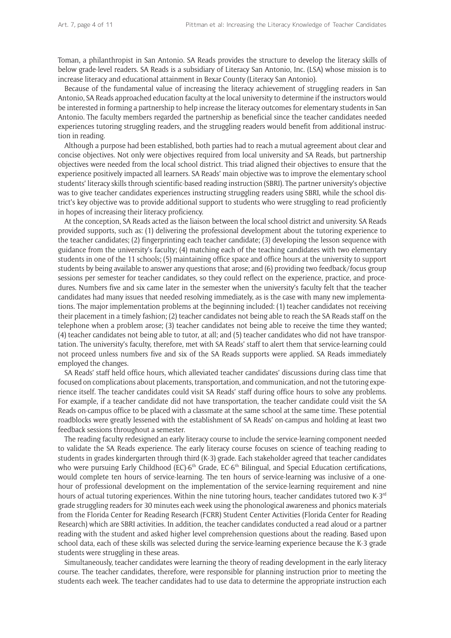Toman, a philanthropist in San Antonio. SA Reads provides the structure to develop the literacy skills of below grade-level readers. SA Reads is a subsidiary of Literacy San Antonio, Inc. (LSA) whose mission is to increase literacy and educational attainment in Bexar County (Literacy San Antonio).

Because of the fundamental value of increasing the literacy achievement of struggling readers in San Antonio, SA Reads approached education faculty at the local university to determine if the instructors would be interested in forming a partnership to help increase the literacy outcomes for elementary students in San Antonio. The faculty members regarded the partnership as beneficial since the teacher candidates needed experiences tutoring struggling readers, and the struggling readers would benefit from additional instruction in reading.

Although a purpose had been established, both parties had to reach a mutual agreement about clear and concise objectives. Not only were objectives required from local university and SA Reads, but partnership objectives were needed from the local school district. This triad aligned their objectives to ensure that the experience positively impacted all learners. SA Reads' main objective was to improve the elementary school students' literacy skills through scientific-based reading instruction (SBRI). The partner university's objective was to give teacher candidates experiences instructing struggling readers using SBRI, while the school district's key objective was to provide additional support to students who were struggling to read proficiently in hopes of increasing their literacy proficiency.

At the conception, SA Reads acted as the liaison between the local school district and university. SA Reads provided supports, such as: (1) delivering the professional development about the tutoring experience to the teacher candidates; (2) fingerprinting each teacher candidate; (3) developing the lesson sequence with guidance from the university's faculty; (4) matching each of the teaching candidates with two elementary students in one of the 11 schools; (5) maintaining office space and office hours at the university to support students by being available to answer any questions that arose; and (6) providing two feedback/focus group sessions per semester for teacher candidates, so they could reflect on the experience, practice, and procedures. Numbers five and six came later in the semester when the university's faculty felt that the teacher candidates had many issues that needed resolving immediately, as is the case with many new implementations. The major implementation problems at the beginning included: (1) teacher candidates not receiving their placement in a timely fashion; (2) teacher candidates not being able to reach the SA Reads staff on the telephone when a problem arose; (3) teacher candidates not being able to receive the time they wanted; (4) teacher candidates not being able to tutor, at all; and (5) teacher candidates who did not have transportation. The university's faculty, therefore, met with SA Reads' staff to alert them that service-learning could not proceed unless numbers five and six of the SA Reads supports were applied. SA Reads immediately employed the changes.

SA Reads' staff held office hours, which alleviated teacher candidates' discussions during class time that focused on complications about placements, transportation, and communication, and not the tutoring experience itself. The teacher candidates could visit SA Reads' staff during office hours to solve any problems. For example, if a teacher candidate did not have transportation, the teacher candidate could visit the SA Reads on-campus office to be placed with a classmate at the same school at the same time. These potential roadblocks were greatly lessened with the establishment of SA Reads' on-campus and holding at least two feedback sessions throughout a semester.

The reading faculty redesigned an early literacy course to include the service-learning component needed to validate the SA Reads experience. The early literacy course focuses on science of teaching reading to students in grades kindergarten through third (K-3) grade. Each stakeholder agreed that teacher candidates who were pursuing Early Childhood (EC)-6<sup>th</sup> Grade, EC-6<sup>th</sup> Bilingual, and Special Education certifications, would complete ten hours of service-learning. The ten hours of service-learning was inclusive of a onehour of professional development on the implementation of the service-learning requirement and nine hours of actual tutoring experiences. Within the nine tutoring hours, teacher candidates tutored two K-3<sup>rd</sup> grade struggling readers for 30 minutes each week using the phonological awareness and phonics materials from the Florida Center for Reading Research (FCRR) Student Center Activities (Florida Center for Reading Research) which are SBRI activities. In addition, the teacher candidates conducted a read aloud or a partner reading with the student and asked higher level comprehension questions about the reading. Based upon school data, each of these skills was selected during the service-learning experience because the K-3 grade students were struggling in these areas.

Simultaneously, teacher candidates were learning the theory of reading development in the early literacy course. The teacher candidates, therefore, were responsible for planning instruction prior to meeting the students each week. The teacher candidates had to use data to determine the appropriate instruction each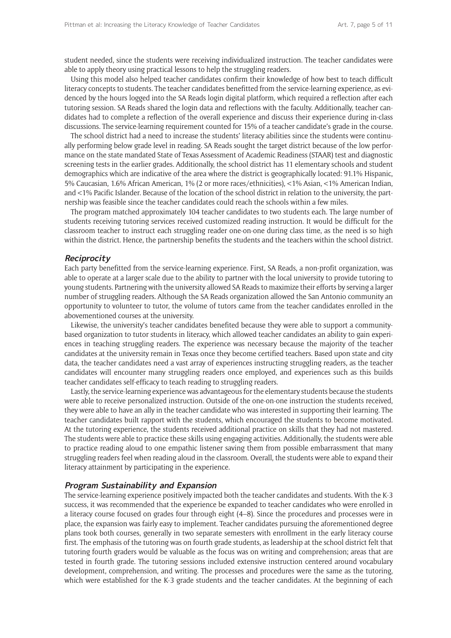student needed, since the students were receiving individualized instruction. The teacher candidates were able to apply theory using practical lessons to help the struggling readers.

Using this model also helped teacher candidates confirm their knowledge of how best to teach difficult literacy concepts to students. The teacher candidates benefitted from the service-learning experience, as evidenced by the hours logged into the SA Reads login digital platform, which required a reflection after each tutoring session. SA Reads shared the login data and reflections with the faculty. Additionally, teacher candidates had to complete a reflection of the overall experience and discuss their experience during in-class discussions. The service-learning requirement counted for 15% of a teacher candidate's grade in the course.

The school district had a need to increase the students' literacy abilities since the students were continually performing below grade level in reading. SA Reads sought the target district because of the low performance on the state mandated State of Texas Assessment of Academic Readiness (STAAR) test and diagnostic screening tests in the earlier grades. Additionally, the school district has 11 elementary schools and student demographics which are indicative of the area where the district is geographically located: 91.1% Hispanic, 5% Caucasian, 1.6% African American, 1% (2 or more races/ethnicities), <1% Asian, <1% American Indian, and <1% Pacific Islander. Because of the location of the school district in relation to the university, the partnership was feasible since the teacher candidates could reach the schools within a few miles.

The program matched approximately 104 teacher candidates to two students each. The large number of students receiving tutoring services received customized reading instruction. It would be difficult for the classroom teacher to instruct each struggling reader one-on-one during class time, as the need is so high within the district. Hence, the partnership benefits the students and the teachers within the school district.

#### **Reciprocity**

Each party benefitted from the service-learning experience. First, SA Reads, a non-profit organization, was able to operate at a larger scale due to the ability to partner with the local university to provide tutoring to young students. Partnering with the university allowed SA Reads to maximize their efforts by serving a larger number of struggling readers. Although the SA Reads organization allowed the San Antonio community an opportunity to volunteer to tutor, the volume of tutors came from the teacher candidates enrolled in the abovementioned courses at the university.

Likewise, the university's teacher candidates benefited because they were able to support a communitybased organization to tutor students in literacy, which allowed teacher candidates an ability to gain experiences in teaching struggling readers. The experience was necessary because the majority of the teacher candidates at the university remain in Texas once they become certified teachers. Based upon state and city data, the teacher candidates need a vast array of experiences instructing struggling readers, as the teacher candidates will encounter many struggling readers once employed, and experiences such as this builds teacher candidates self-efficacy to teach reading to struggling readers.

Lastly, the service-learning experience was advantageous for the elementary students because the students were able to receive personalized instruction. Outside of the one-on-one instruction the students received, they were able to have an ally in the teacher candidate who was interested in supporting their learning. The teacher candidates built rapport with the students, which encouraged the students to become motivated. At the tutoring experience, the students received additional practice on skills that they had not mastered. The students were able to practice these skills using engaging activities. Additionally, the students were able to practice reading aloud to one empathic listener saving them from possible embarrassment that many struggling readers feel when reading aloud in the classroom. Overall, the students were able to expand their literacy attainment by participating in the experience.

#### **Program Sustainability and Expansion**

The service-learning experience positively impacted both the teacher candidates and students. With the K-3 success, it was recommended that the experience be expanded to teacher candidates who were enrolled in a literacy course focused on grades four through eight (4–8). Since the procedures and processes were in place, the expansion was fairly easy to implement. Teacher candidates pursuing the aforementioned degree plans took both courses, generally in two separate semesters with enrollment in the early literacy course first. The emphasis of the tutoring was on fourth grade students, as leadership at the school district felt that tutoring fourth graders would be valuable as the focus was on writing and comprehension; areas that are tested in fourth grade. The tutoring sessions included extensive instruction centered around vocabulary development, comprehension, and writing. The processes and procedures were the same as the tutoring, which were established for the K-3 grade students and the teacher candidates. At the beginning of each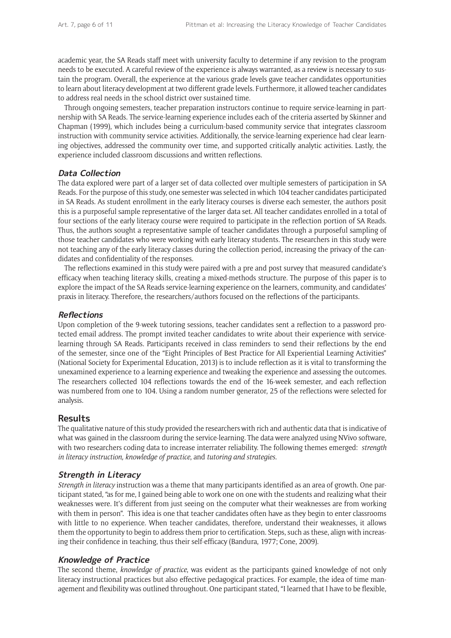academic year, the SA Reads staff meet with university faculty to determine if any revision to the program needs to be executed. A careful review of the experience is always warranted, as a review is necessary to sustain the program. Overall, the experience at the various grade levels gave teacher candidates opportunities to learn about literacy development at two different grade levels. Furthermore, it allowed teacher candidates to address real needs in the school district over sustained time.

Through ongoing semesters, teacher preparation instructors continue to require service-learning in partnership with SA Reads. The service-learning experience includes each of the criteria asserted by Skinner and Chapman (1999), which includes being a curriculum-based community service that integrates classroom instruction with community service activities. Additionally, the service-learning experience had clear learning objectives, addressed the community over time, and supported critically analytic activities. Lastly, the experience included classroom discussions and written reflections.

### **Data Collection**

The data explored were part of a larger set of data collected over multiple semesters of participation in SA Reads. For the purpose of this study, one semester was selected in which 104 teacher candidates participated in SA Reads. As student enrollment in the early literacy courses is diverse each semester, the authors posit this is a purposeful sample representative of the larger data set. All teacher candidates enrolled in a total of four sections of the early literacy course were required to participate in the reflection portion of SA Reads. Thus, the authors sought a representative sample of teacher candidates through a purposeful sampling of those teacher candidates who were working with early literacy students. The researchers in this study were not teaching any of the early literacy classes during the collection period, increasing the privacy of the candidates and confidentiality of the responses.

The reflections examined in this study were paired with a pre and post survey that measured candidate's efficacy when teaching literacy skills, creating a mixed-methods structure. The purpose of this paper is to explore the impact of the SA Reads service-learning experience on the learners, community, and candidates' praxis in literacy. Therefore, the researchers/authors focused on the reflections of the participants.

### **Reflections**

Upon completion of the 9-week tutoring sessions, teacher candidates sent a reflection to a password protected email address. The prompt invited teacher candidates to write about their experience with servicelearning through SA Reads. Participants received in class reminders to send their reflections by the end of the semester, since one of the "Eight Principles of Best Practice for All Experiential Learning Activities" (National Society for Experimental Education, 2013) is to include reflection as it is vital to transforming the unexamined experience to a learning experience and tweaking the experience and assessing the outcomes. The researchers collected 104 reflections towards the end of the 16-week semester, and each reflection was numbered from one to 104. Using a random number generator, 25 of the reflections were selected for analysis.

### **Results**

The qualitative nature of this study provided the researchers with rich and authentic data that is indicative of what was gained in the classroom during the service-learning. The data were analyzed using NVivo software, with two researchers coding data to increase interrater reliability. The following themes emerged: *strength in literacy instruction, knowledge of practice*, and *tutoring and strategies.*

## **Strength in Literacy**

*Strength in literacy* instruction was a theme that many participants identified as an area of growth. One participant stated, "as for me, I gained being able to work one on one with the students and realizing what their weaknesses were. It's different from just seeing on the computer what their weaknesses are from working with them in person". This idea is one that teacher candidates often have as they begin to enter classrooms with little to no experience. When teacher candidates, therefore, understand their weaknesses, it allows them the opportunity to begin to address them prior to certification. Steps, such as these, align with increasing their confidence in teaching, thus their self-efficacy (Bandura, 1977; Cone, 2009).

### **Knowledge of Practice**

The second theme, *knowledge of practice*, was evident as the participants gained knowledge of not only literacy instructional practices but also effective pedagogical practices. For example, the idea of time management and flexibility was outlined throughout. One participant stated, "I learned that I have to be flexible,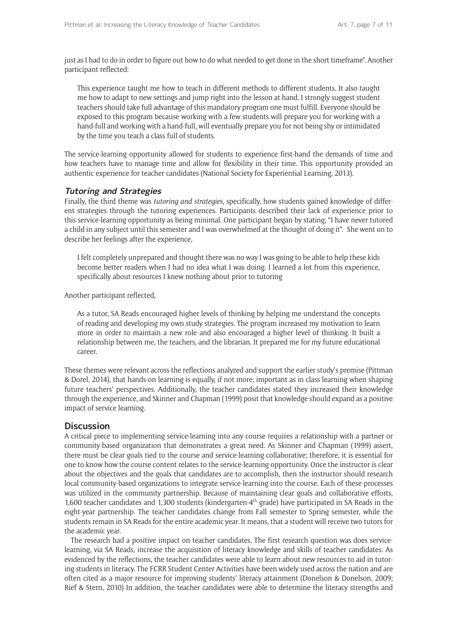just as I had to do in order to figure out how to do what needed to get done in the short timeframe". Another participant reflected:

This experience taught me how to teach in different methods to different students. It also taught me how to adapt to new settings and jump right into the lesson at hand. I strongly suggest student teachers should take full advantage of this mandatory program one must fulfill. Everyone should be exposed to this program because working with a few students will prepare you for working with a hand-full and working with a hand-full, will eventually prepare you for not being shy or intimidated by the time you teach a class full of students.

The service-learning opportunity allowed for students to experience first-hand the demands of time and how teachers have to manage time and allow for flexibility in their time. This opportunity provided an authentic experience for teacher candidates (National Society for Experiential Learning, 2013).

### **Tutoring and Strategies**

Finally, the third theme was *tutoring and strategies*, specifically, how students gained knowledge of different strategies through the tutoring experiences. Participants described their lack of experience prior to this service-learning opportunity as being minimal. One participant began by stating, "I have never tutored a child in any subject until this semester and I was overwhelmed at the thought of doing it". She went on to describe her feelings after the experience,

I felt completely unprepared and thought there was no way I was going to be able to help these kids become better readers when I had no idea what I was doing. I learned a lot from this experience, specifically about resources I knew nothing about prior to tutoring

Another participant reflected,

As a tutor, SA Reads encouraged higher levels of thinking by helping me understand the concepts of reading and developing my own study strategies. The program increased my motivation to learn more in order to maintain a new role and also encouraged a higher level of thinking. It built a relationship between me, the teachers, and the librarian. It prepared me for my future educational career.

These themes were relevant across the reflections analyzed and support the earlier study's premise (Pittman & Dorel, 2014), that hands-on learning is equally, if not more, important as in class learning when shaping future teachers' perspectives. Additionally, the teacher candidates stated they increased their knowledge through the experience, and Skinner and Chapman (1999) posit that knowledge should expand as a positive impact of service learning.

## **Discussion**

A critical piece to implementing service-learning into any course requires a relationship with a partner or community-based organization that demonstrates a great need. As Skinner and Chapman (1999) assert, there must be clear goals tied to the course and service-learning collaborative; therefore, it is essential for one to know how the course content relates to the service-learning opportunity. Once the instructor is clear about the objectives and the goals that candidates are to accomplish, then the instructor should research local community-based organizations to integrate service-learning into the course. Each of these processes was utilized in the community partnership. Because of maintaining clear goals and collaborative efforts, 1,600 teacher candidates and 1,300 students (kindergarten-4<sup>th</sup> grade) have participated in SA Reads in the eight-year partnership. The teacher candidates change from Fall semester to Spring semester, while the students remain in SA Reads for the entire academic year. It means, that a student will receive two tutors for the academic year.

The research had a positive impact on teacher candidates. The first research question was does servicelearning, via SA Reads, increase the acquisition of literacy knowledge and skills of teacher candidates. As evidenced by the reflections, the teacher candidates were able to learn about new resources to aid in tutoring students in literacy. The FCRR Student Center Activities have been widely used across the nation and are often cited as a major resource for improving students' literacy attainment (Donelson & Donelson, 2009; Rief & Stern, 2010) In addition, the teacher candidates were able to determine the literacy strengths and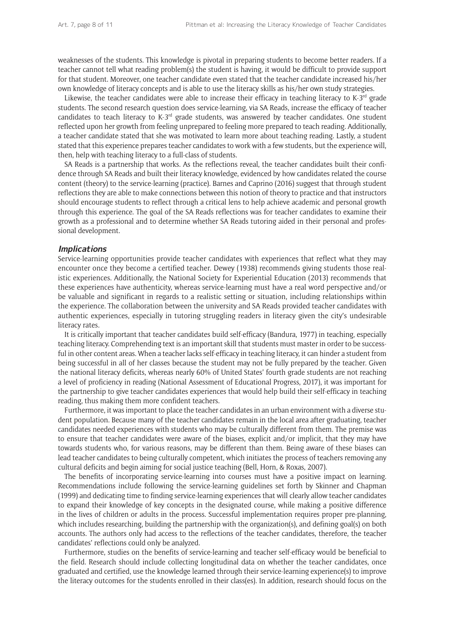weaknesses of the students. This knowledge is pivotal in preparing students to become better readers. If a teacher cannot tell what reading problem(s) the student is having, it would be difficult to provide support for that student. Moreover, one teacher candidate even stated that the teacher candidate increased his/her own knowledge of literacy concepts and is able to use the literacy skills as his/her own study strategies.

Likewise, the teacher candidates were able to increase their efficacy in teaching literacy to K-3<sup>rd</sup> grade students. The second research question does service-learning, via SA Reads, increase the efficacy of teacher candidates to teach literacy to  $K-3<sup>rd</sup>$  grade students, was answered by teacher candidates. One student reflected upon her growth from feeling unprepared to feeling more prepared to teach reading. Additionally, a teacher candidate stated that she was motivated to learn more about teaching reading. Lastly, a student stated that this experience prepares teacher candidates to work with a few students, but the experience will, then, help with teaching literacy to a full-class of students.

SA Reads is a partnership that works. As the reflections reveal, the teacher candidates built their confidence through SA Reads and built their literacy knowledge, evidenced by how candidates related the course content (theory) to the service-learning (practice). Barnes and Caprino (2016) suggest that through student reflections they are able to make connections between this notion of theory to practice and that instructors should encourage students to reflect through a critical lens to help achieve academic and personal growth through this experience. The goal of the SA Reads reflections was for teacher candidates to examine their growth as a professional and to determine whether SA Reads tutoring aided in their personal and professional development.

#### **Implications**

Service-learning opportunities provide teacher candidates with experiences that reflect what they may encounter once they become a certified teacher. Dewey (1938) recommends giving students those realistic experiences. Additionally, the National Society for Experiential Education (2013) recommends that these experiences have authenticity, whereas service-learning must have a real word perspective and/or be valuable and significant in regards to a realistic setting or situation, including relationships within the experience. The collaboration between the university and SA Reads provided teacher candidates with authentic experiences, especially in tutoring struggling readers in literacy given the city's undesirable literacy rates.

It is critically important that teacher candidates build self-efficacy (Bandura, 1977) in teaching, especially teaching literacy. Comprehending text is an important skill that students must master in order to be successful in other content areas. When a teacher lacks self-efficacy in teaching literacy, it can hinder a student from being successful in all of her classes because the student may not be fully prepared by the teacher. Given the national literacy deficits, whereas nearly 60% of United States' fourth grade students are not reaching a level of proficiency in reading (National Assessment of Educational Progress, 2017), it was important for the partnership to give teacher candidates experiences that would help build their self-efficacy in teaching reading, thus making them more confident teachers.

Furthermore, it was important to place the teacher candidates in an urban environment with a diverse student population. Because many of the teacher candidates remain in the local area after graduating, teacher candidates needed experiences with students who may be culturally different from them. The premise was to ensure that teacher candidates were aware of the biases, explicit and/or implicit, that they may have towards students who, for various reasons, may be different than them. Being aware of these biases can lead teacher candidates to being culturally competent, which initiates the process of teachers removing any cultural deficits and begin aiming for social justice teaching (Bell, Horn, & Roxas, 2007).

The benefits of incorporating service-learning into courses must have a positive impact on learning. Recommendations include following the service-learning guidelines set forth by Skinner and Chapman (1999) and dedicating time to finding service-learning experiences that will clearly allow teacher candidates to expand their knowledge of key concepts in the designated course, while making a positive difference in the lives of children or adults in the process. Successful implementation requires proper pre-planning, which includes researching, building the partnership with the organization(s), and defining goal(s) on both accounts. The authors only had access to the reflections of the teacher candidates, therefore, the teacher candidates' reflections could only be analyzed.

Furthermore, studies on the benefits of service-learning and teacher self-efficacy would be beneficial to the field. Research should include collecting longitudinal data on whether the teacher candidates, once graduated and certified, use the knowledge learned through their service-learning experience(s) to improve the literacy outcomes for the students enrolled in their class(es). In addition, research should focus on the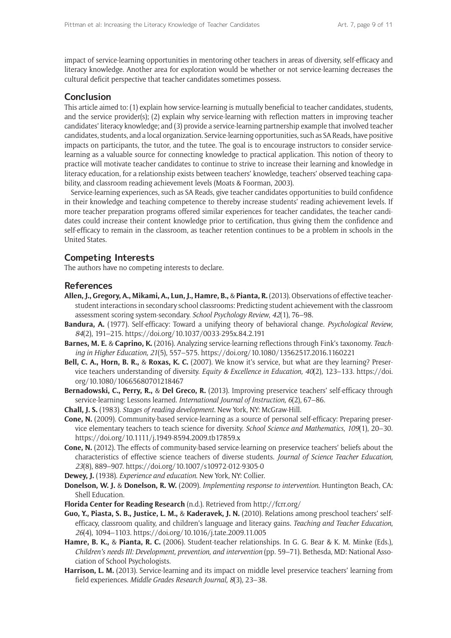impact of service-learning opportunities in mentoring other teachers in areas of diversity, self-efficacy and literacy knowledge. Another area for exploration would be whether or not service-learning decreases the cultural deficit perspective that teacher candidates sometimes possess.

### **Conclusion**

This article aimed to: (1) explain how service-learning is mutually beneficial to teacher candidates, students, and the service provider(s); (2) explain why service-learning with reflection matters in improving teacher candidates' literacy knowledge; and (3) provide a service-learning partnership example that involved teacher candidates, students, and a local organization. Service-learning opportunities, such as SA Reads, have positive impacts on participants, the tutor, and the tutee. The goal is to encourage instructors to consider servicelearning as a valuable source for connecting knowledge to practical application. This notion of theory to practice will motivate teacher candidates to continue to strive to increase their learning and knowledge in literacy education, for a relationship exists between teachers' knowledge, teachers' observed teaching capability, and classroom reading achievement levels (Moats & Foorman, 2003).

Service-learning experiences, such as SA Reads, give teacher candidates opportunities to build confidence in their knowledge and teaching competence to thereby increase students' reading achievement levels. If more teacher preparation programs offered similar experiences for teacher candidates, the teacher candidates could increase their content knowledge prior to certification, thus giving them the confidence and self-efficacy to remain in the classroom, as teacher retention continues to be a problem in schools in the United States.

## **Competing Interests**

The authors have no competing interests to declare.

### **References**

- **Allen, J., Gregory, A., Mikami, A., Lun, J., Hamre, B.,** & **Pianta, R.** (2013). Observations of effective teacherstudent interactions in secondary school classrooms: Predicting student achievement with the classroom assessment scoring system-secondary. *School Psychology Review*, *42*(1), 76–98.
- **Bandura, A.** (1977). Self-efficacy: Toward a unifying theory of behavioral change. *Psychological Review*, *84*(2), 191–215.<https://doi.org/10.1037/0033-295x.84.2.191>
- **Barnes, M. E.** & **Caprino, K.** (2016). Analyzing service-learning reflections through Fink's taxonomy. *Teaching in Higher Education, 21*(5), 557–575.<https://doi.org/10.1080/13562517.2016.1160221>
- **Bell, C. A., Horn, B. R.,** & **Roxas, K. C.** (2007). We know it's service, but what are they learning? Preservice teachers understanding of diversity. *Equity & Excellence in Education, 40*(2)*,* 123–133*.* [https://doi.](https://doi.org/10.1080/10665680701218467) [org/10.1080/10665680701218467](https://doi.org/10.1080/10665680701218467)
- **Bernadowski, C., Perry, R.,** & **Del Greco, R.** (2013). Improving preservice teachers' self-efficacy through service-learning: Lessons learned. *International Journal of Instruction, 6*(2), 67–86.
- **Chall, J. S.** (1983). *Stages of reading development*. New York, NY: McGraw-Hill.
- **Cone, N.** (2009). Community-based service-learning as a source of personal self-efficacy: Preparing preservice elementary teachers to teach science for diversity. *School Science and Mathematics*, *109*(1), 20–30. <https://doi.org/10.1111/j.1949-8594.2009.tb17859.x>
- **Cone, N.** (2012). The effects of community-based service-learning on preservice teachers' beliefs about the characteristics of effective science teachers of diverse students. *Journal of Science Teacher Education, 23*(8), 889–907.<https://doi.org/10.1007/s10972-012-9305-0>

**Dewey, J.** (1938). *Experience and education*. New York, NY: Collier.

- **Donelson, W. J.** & **Donelson, R. W.** (2009). *Implementing response to intervention*. Huntington Beach, CA: Shell Education.
- **Florida Center for Reading Research** (n.d.). Retrieved from<http://fcrr.org/>
- **Guo, Y., Piasta, S. B., Justice, L. M.,** & **Kaderavek, J. N.** (2010). Relations among preschool teachers' selfefficacy, classroom quality, and children's language and literacy gains. *Teaching and Teacher Education*, *26*(4), 1094–1103.<https://doi.org/10.1016/j.tate.2009.11.005>
- **Hamre, B. K.,** & **Pianta, R. C.** (2006). Student-teacher relationships. In G. G. Bear & K. M. Minke (Eds.), *Children's needs III: Development, prevention, and intervention* (pp. 59–71). Bethesda, MD: National Association of School Psychologists.
- **Harrison, L. M.** (2013). Service-learning and its impact on middle level preservice teachers' learning from field experiences. *Middle Grades Research Journal, 8*(3)*,* 23–38.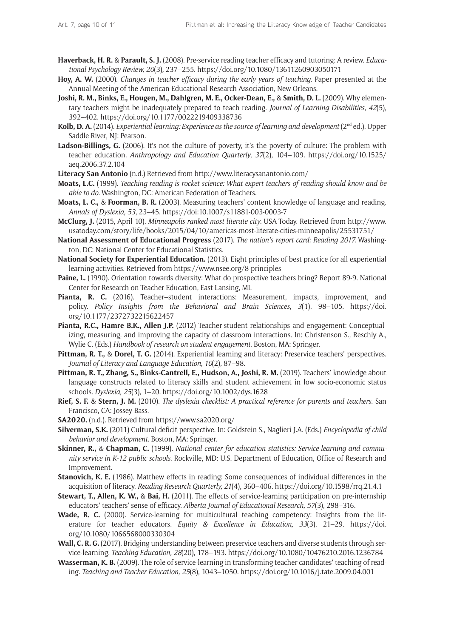- **Haverback, H. R.** & **Parault, S. J.** (2008). Pre-service reading teacher efficacy and tutoring: A review. *Educational Psychology Review, 20*(3)*,* 237–255. <https://doi.org/10.1080/13611260903050171>
- **Hoy, A. W.** (2000). *Changes in teacher efficacy during the early years of teaching.* Paper presented at the Annual Meeting of the American Educational Research Association, New Orleans.
- **Joshi, R. M., Binks, E., Hougen, M., Dahlgren, M. E., Ocker-Dean, E.,** & **Smith, D. L.** (2009). Why elementary teachers might be inadequately prepared to teach reading. *Journal of Learning Disabilities*, *42*(5), 392–402.<https://doi.org/10.1177/0022219409338736>
- **Kolb, D. A.** (2014). *Experiential learning: Experience as the source of learning and development* (2<sup>nd</sup> ed.). Upper Saddle River, NJ: Pearson.
- **Ladson-Billings, G.** (2006). It's not the culture of poverty, it's the poverty of culture: The problem with teacher education. *Anthropology and Education Quarterly*, *37*(2), 104–109. [https://doi.org/10.1525/](https://doi.org/10.1525/aeq.2006.37.2.104) [aeq.2006.37.2.104](https://doi.org/10.1525/aeq.2006.37.2.104)
- **Literacy San Antonio** (n.d.) Retrieved from <http://www.literacysanantonio.com/>
- **Moats, L.C.** (1999). *Teaching reading is rocket science: What expert teachers of reading should know and be able to do.* Washington, DC: American Federation of Teachers.
- **Moats, L. C.,** & **Foorman, B. R.** (2003). Measuring teachers' content knowledge of language and reading. *Annals of Dyslexia, 53*, 23–45. [https://doi:10.1007/s11881-003-0003-7](https://doi.org/10.1007/s11881-003-0003-7)
- **McClurg, J.** (2015, April 10). *Minneapolis ranked most literate city*. USA Today. Retrieved from [http://www.](http://www.usatoday.com/story/life/books/2015/04/10/americas-most-literate-cities-minneapolis/25531751/) [usatoday.com/story/life/books/2015/04/10/americas-most-literate-cities-minneapolis/25531751/](http://www.usatoday.com/story/life/books/2015/04/10/americas-most-literate-cities-minneapolis/25531751/)
- **National Assessment of Educational Progress** (2017). *The nation's report card: Reading 2017.* Washington, DC: National Center for Educational Statistics.
- **National Society for Experiential Education.** (2013). Eight principles of best practice for all experiential learning activities. Retrieved from <https://www.nsee.org/8-principles>
- **Paine, L.** (1990). Orientation towards diversity: What do prospective teachers bring? Report 89-9. National Center for Research on Teacher Education, East Lansing, MI.
- **Pianta, R. C.** (2016). Teacher–student interactions: Measurement, impacts, improvement, and policy. *Policy Insights from the Behavioral and Brain Sciences*, *3*(1), 98–105. [https://doi.](https://doi.org/10.1177/2372732215622457) [org/10.1177/2372732215622457](https://doi.org/10.1177/2372732215622457)
- **Pianta, R.C., Hamre B.K., Allen J.P.** (2012) Teacher-student relationships and engagement: Conceptualizing, measuring, and improving the capacity of classroom interactions. In: Christenson S., Reschly A., Wylie C. (Eds.) *Handbook of research on student engagement*. Boston, MA: Springer.
- **Pittman, R. T.,** & **Dorel, T. G.** (2014). Experiential learning and literacy: Preservice teachers' perspectives. *Journal of Literacy and Language Education, 10*(2)*,* 87–98.
- Pittman, R. T., Zhang, S., Binks-Cantrell, E., Hudson, A., Joshi, R. M. (2019). Teachers' knowledge about language constructs related to literacy skills and student achievement in low socio-economic status schools. *Dyslexia, 25*(3)*,* 1–20. <https://doi.org/10.1002/dys.1628>
- **Rief, S. F.** & **Stern, J. M.** (2010). *The dyslexia checklist: A practical reference for parents and teachers*. San Francisco, CA: Jossey-Bass.
- **SA2020.** (n.d.). Retrieved from<https://www.sa2020.org/>
- **Silverman, S.K.** (2011) Cultural deficit perspective. In: Goldstein S., Naglieri J.A. (Eds.) *Encyclopedia of child behavior and development*. Boston, MA: Springer.
- **Skinner, R.,** & **Chapman, C.** (1999). *National center for education statistics: Service-learning and community service in K-12 public schools.* Rockville, MD: U.S. Department of Education, Office of Research and Improvement.
- **Stanovich, K. E.** (1986). Matthew effects in reading: Some consequences of individual differences in the acquisition of literacy. *Reading Research Quarterly, 21*(4)*,* 360–406. <https://doi.org/10.1598/rrq.21.4.1>
- **Stewart, T., Allen, K. W.,** & **Bai, H.** (2011). The effects of service-learning participation on pre-internship educators' teachers' sense of efficacy. *Alberta Journal of Educational Research, 57*(3), 298–316.
- **Wade, R. C.** (2000). Service-learning for multicultural teaching competency: Insights from the literature for teacher educators. *Equity & Excellence in Education, 33*(3), 21–29. [https://doi.](https://doi.org/10.1080/1066568000330304) [org/10.1080/1066568000330304](https://doi.org/10.1080/1066568000330304)
- **Wall, C. R. G.** (2017). Bridging understanding between preservice teachers and diverse students through service-learning. *Teaching Education, 28*(20), 178–193.<https://doi.org/10.1080/10476210.2016.1236784>
- **Wasserman, K. B.** (2009). The role of service-learning in transforming teacher candidates' teaching of reading. *Teaching and Teacher Education, 25*(8), 1043–1050. <https://doi.org/10.1016/j.tate.2009.04.001>